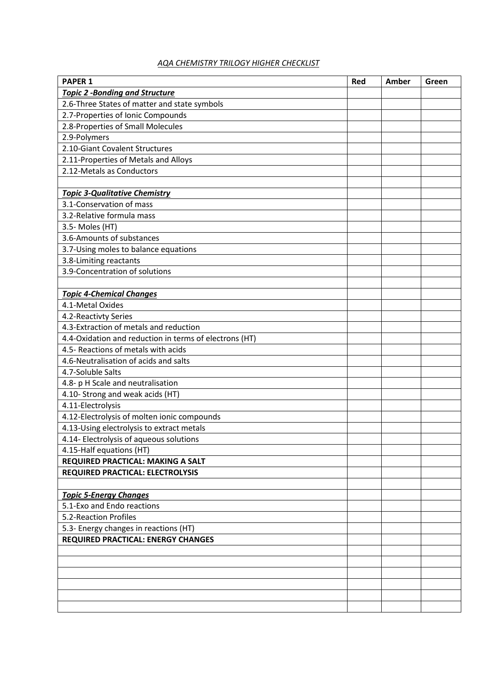## *AQA CHEMISTRY TRILOGY HIGHER CHECKLIST*

| <b>PAPER 1</b>                                         | <b>Red</b> | Amber | Green |
|--------------------------------------------------------|------------|-------|-------|
| <b>Topic 2 -Bonding and Structure</b>                  |            |       |       |
| 2.6-Three States of matter and state symbols           |            |       |       |
| 2.7-Properties of Ionic Compounds                      |            |       |       |
| 2.8-Properties of Small Molecules                      |            |       |       |
| 2.9-Polymers                                           |            |       |       |
| 2.10-Giant Covalent Structures                         |            |       |       |
| 2.11-Properties of Metals and Alloys                   |            |       |       |
| 2.12-Metals as Conductors                              |            |       |       |
|                                                        |            |       |       |
| <b>Topic 3-Qualitative Chemistry</b>                   |            |       |       |
| 3.1-Conservation of mass                               |            |       |       |
| 3.2-Relative formula mass                              |            |       |       |
| 3.5- Moles (HT)                                        |            |       |       |
| 3.6-Amounts of substances                              |            |       |       |
| 3.7-Using moles to balance equations                   |            |       |       |
| 3.8-Limiting reactants                                 |            |       |       |
| 3.9-Concentration of solutions                         |            |       |       |
|                                                        |            |       |       |
| <b>Topic 4-Chemical Changes</b>                        |            |       |       |
| 4.1-Metal Oxides                                       |            |       |       |
| 4.2-Reactivty Series                                   |            |       |       |
| 4.3-Extraction of metals and reduction                 |            |       |       |
| 4.4-Oxidation and reduction in terms of electrons (HT) |            |       |       |
| 4.5- Reactions of metals with acids                    |            |       |       |
| 4.6-Neutralisation of acids and salts                  |            |       |       |
| 4.7-Soluble Salts                                      |            |       |       |
| 4.8- p H Scale and neutralisation                      |            |       |       |
| 4.10- Strong and weak acids (HT)                       |            |       |       |
| 4.11-Electrolysis                                      |            |       |       |
| 4.12-Electrolysis of molten ionic compounds            |            |       |       |
| 4.13-Using electrolysis to extract metals              |            |       |       |
| 4.14- Electrolysis of aqueous solutions                |            |       |       |
| 4.15-Half equations (HT)                               |            |       |       |
| REQUIRED PRACTICAL: MAKING A SALT                      |            |       |       |
| <b>REQUIRED PRACTICAL: ELECTROLYSIS</b>                |            |       |       |
|                                                        |            |       |       |
| <b>Topic 5-Energy Changes</b>                          |            |       |       |
| 5.1-Exo and Endo reactions                             |            |       |       |
| 5.2-Reaction Profiles                                  |            |       |       |
| 5.3- Energy changes in reactions (HT)                  |            |       |       |
| <b>REQUIRED PRACTICAL: ENERGY CHANGES</b>              |            |       |       |
|                                                        |            |       |       |
|                                                        |            |       |       |
|                                                        |            |       |       |
|                                                        |            |       |       |
|                                                        |            |       |       |
|                                                        |            |       |       |